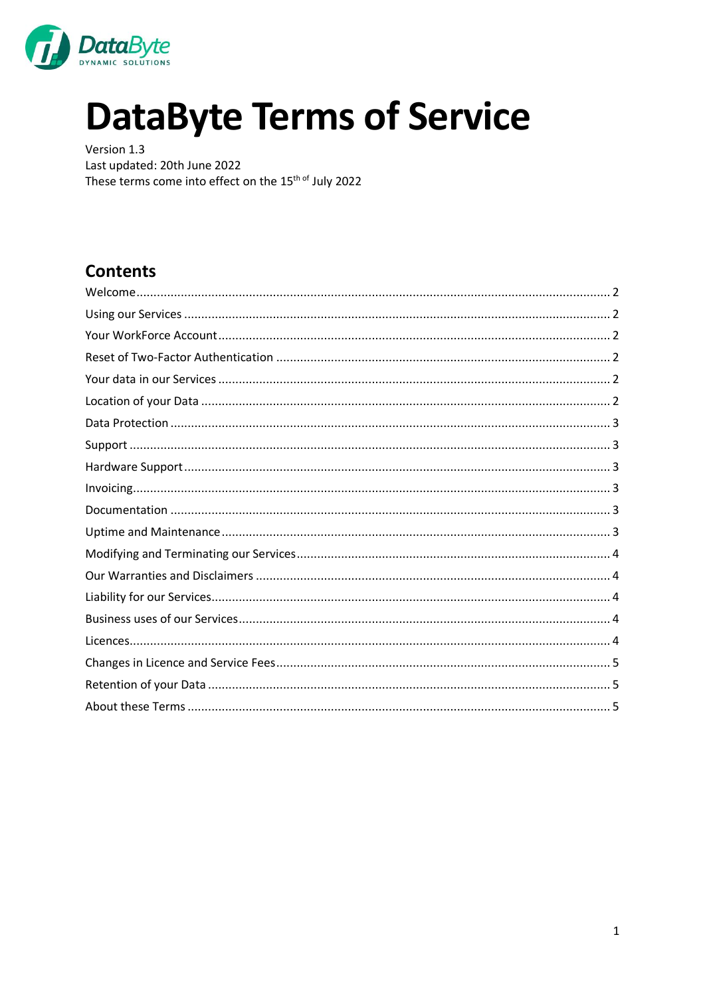

# **DataByte Terms of Service**

Version 1.3 Last updated: 20th June 2022 These terms come into effect on the 15<sup>th of</sup> July 2022

## **Contents**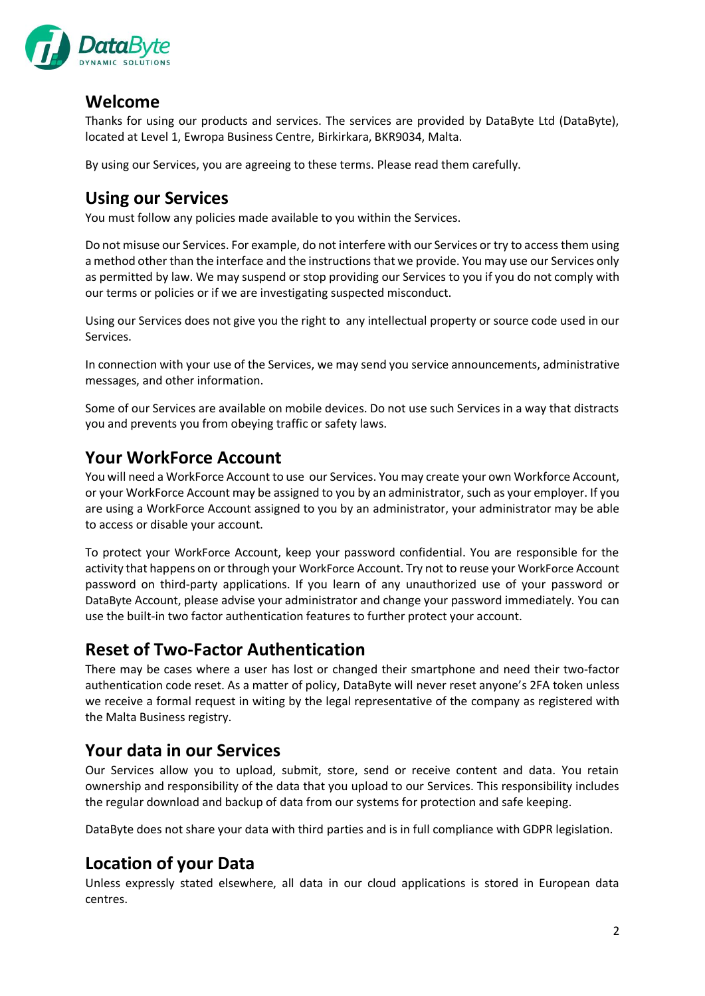

#### <span id="page-1-0"></span>**Welcome**

Thanks for using our products and services. The services are provided by DataByte Ltd (DataByte), located at Level 1, Ewropa Business Centre, Birkirkara, BKR9034, Malta.

By using our Services, you are agreeing to these terms. Please read them carefully.

## <span id="page-1-1"></span>**Using our Services**

You must follow any policies made available to you within the Services.

Do not misuse our Services. For example, do not interfere with our Services or try to access them using a method other than the interface and the instructions that we provide. You may use our Services only as permitted by law. We may suspend or stop providing our Services to you if you do not comply with our terms or policies or if we are investigating suspected misconduct.

Using our Services does not give you the right to any intellectual property or source code used in our Services.

In connection with your use of the Services, we may send you service announcements, administrative messages, and other information.

Some of our Services are available on mobile devices. Do not use such Services in a way that distracts you and prevents you from obeying traffic or safety laws.

#### <span id="page-1-2"></span>**Your WorkForce Account**

You will need a WorkForce Account to use our Services. You may create your own Workforce Account, or your WorkForce Account may be assigned to you by an administrator, such as your employer. If you are using a WorkForce Account assigned to you by an administrator, your administrator may be able to access or disable your account.

To protect your WorkForce Account, keep your password confidential. You are responsible for the activity that happens on or through your WorkForce Account. Try not to reuse your WorkForce Account password on third-party applications. If you learn of any unauthorized use of your password or DataByte Account, please advise your administrator and change your password immediately. You can use the built-in two factor authentication features to further protect your account.

#### <span id="page-1-3"></span>**Reset of Two-Factor Authentication**

There may be cases where a user has lost or changed their smartphone and need their two-factor authentication code reset. As a matter of policy, DataByte will never reset anyone's 2FA token unless we receive a formal request in witing by the legal representative of the company as registered with the Malta Business registry.

#### <span id="page-1-4"></span>**Your data in our Services**

Our Services allow you to upload, submit, store, send or receive content and data. You retain ownership and responsibility of the data that you upload to our Services. This responsibility includes the regular download and backup of data from our systems for protection and safe keeping.

DataByte does not share your data with third parties and is in full compliance with GDPR legislation.

## <span id="page-1-5"></span>**Location of your Data**

Unless expressly stated elsewhere, all data in our cloud applications is stored in European data centres.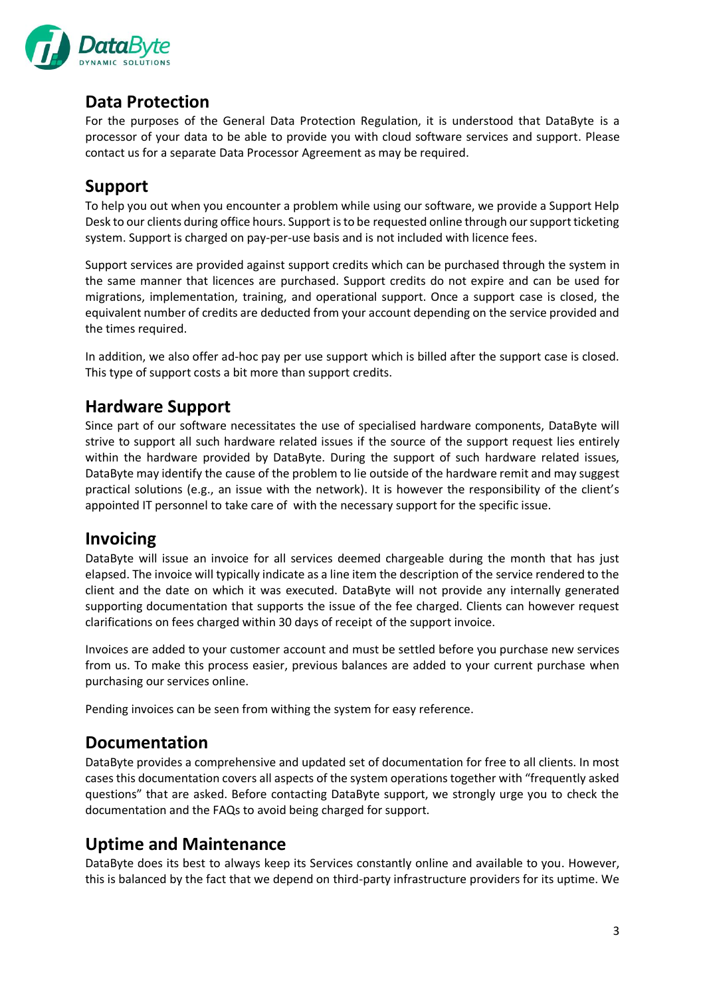

#### <span id="page-2-0"></span>**Data Protection**

For the purposes of the General Data Protection Regulation, it is understood that DataByte is a processor of your data to be able to provide you with cloud software services and support. Please contact us for a separate Data Processor Agreement as may be required.

## <span id="page-2-1"></span>**Support**

To help you out when you encounter a problem while using our software, we provide a Support Help Desk to our clients during office hours. Support is to be requested online through our support ticketing system. Support is charged on pay-per-use basis and is not included with licence fees.

Support services are provided against support credits which can be purchased through the system in the same manner that licences are purchased. Support credits do not expire and can be used for migrations, implementation, training, and operational support. Once a support case is closed, the equivalent number of credits are deducted from your account depending on the service provided and the times required.

In addition, we also offer ad-hoc pay per use support which is billed after the support case is closed. This type of support costs a bit more than support credits.

#### <span id="page-2-2"></span>**Hardware Support**

Since part of our software necessitates the use of specialised hardware components, DataByte will strive to support all such hardware related issues if the source of the support request lies entirely within the hardware provided by DataByte. During the support of such hardware related issues, DataByte may identify the cause of the problem to lie outside of the hardware remit and may suggest practical solutions (e.g., an issue with the network). It is however the responsibility of the client's appointed IT personnel to take care of with the necessary support for the specific issue.

#### <span id="page-2-3"></span>**Invoicing**

DataByte will issue an invoice for all services deemed chargeable during the month that has just elapsed. The invoice will typically indicate as a line item the description of the service rendered to the client and the date on which it was executed. DataByte will not provide any internally generated supporting documentation that supports the issue of the fee charged. Clients can however request clarifications on fees charged within 30 days of receipt of the support invoice.

Invoices are added to your customer account and must be settled before you purchase new services from us. To make this process easier, previous balances are added to your current purchase when purchasing our services online.

Pending invoices can be seen from withing the system for easy reference.

#### <span id="page-2-4"></span>**Documentation**

DataByte provides a comprehensive and updated set of documentation for free to all clients. In most cases this documentation covers all aspects of the system operations together with "frequently asked questions" that are asked. Before contacting DataByte support, we strongly urge you to check the documentation and the FAQs to avoid being charged for support.

#### <span id="page-2-5"></span>**Uptime and Maintenance**

DataByte does its best to always keep its Services constantly online and available to you. However, this is balanced by the fact that we depend on third-party infrastructure providers for its uptime. We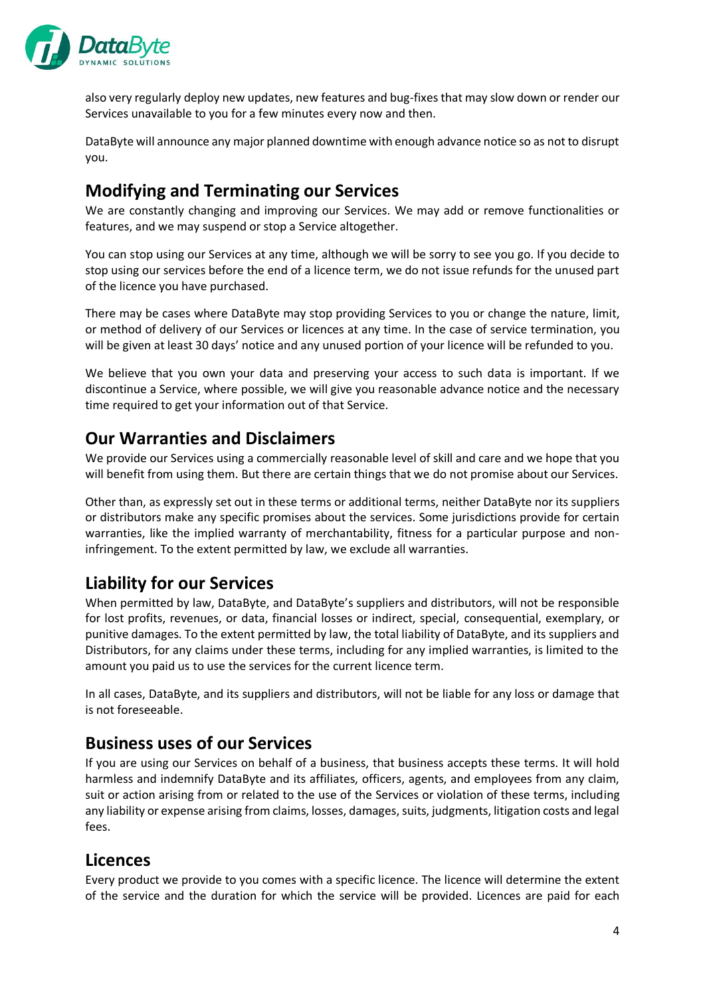

also very regularly deploy new updates, new features and bug-fixes that may slow down or render our Services unavailable to you for a few minutes every now and then.

DataByte will announce any major planned downtime with enough advance notice so as not to disrupt you.

## <span id="page-3-0"></span>**Modifying and Terminating our Services**

We are constantly changing and improving our Services. We may add or remove functionalities or features, and we may suspend or stop a Service altogether.

You can stop using our Services at any time, although we will be sorry to see you go. If you decide to stop using our services before the end of a licence term, we do not issue refunds for the unused part of the licence you have purchased.

There may be cases where DataByte may stop providing Services to you or change the nature, limit, or method of delivery of our Services or licences at any time. In the case of service termination, you will be given at least 30 days' notice and any unused portion of your licence will be refunded to you.

We believe that you own your data and preserving your access to such data is important. If we discontinue a Service, where possible, we will give you reasonable advance notice and the necessary time required to get your information out of that Service.

#### <span id="page-3-1"></span>**Our Warranties and Disclaimers**

We provide our Services using a commercially reasonable level of skill and care and we hope that you will benefit from using them. But there are certain things that we do not promise about our Services.

Other than, as expressly set out in these terms or additional terms, neither DataByte nor its suppliers or distributors make any specific promises about the services. Some jurisdictions provide for certain warranties, like the implied warranty of merchantability, fitness for a particular purpose and noninfringement. To the extent permitted by law, we exclude all warranties.

#### <span id="page-3-2"></span>**Liability for our Services**

When permitted by law, DataByte, and DataByte's suppliers and distributors, will not be responsible for lost profits, revenues, or data, financial losses or indirect, special, consequential, exemplary, or punitive damages. To the extent permitted by law, the total liability of DataByte, and its suppliers and Distributors, for any claims under these terms, including for any implied warranties, is limited to the amount you paid us to use the services for the current licence term.

In all cases, DataByte, and its suppliers and distributors, will not be liable for any loss or damage that is not foreseeable.

#### <span id="page-3-3"></span>**Business uses of our Services**

If you are using our Services on behalf of a business, that business accepts these terms. It will hold harmless and indemnify DataByte and its affiliates, officers, agents, and employees from any claim, suit or action arising from or related to the use of the Services or violation of these terms, including any liability or expense arising from claims, losses, damages, suits, judgments, litigation costs and legal fees.

#### <span id="page-3-4"></span>**Licences**

Every product we provide to you comes with a specific licence. The licence will determine the extent of the service and the duration for which the service will be provided. Licences are paid for each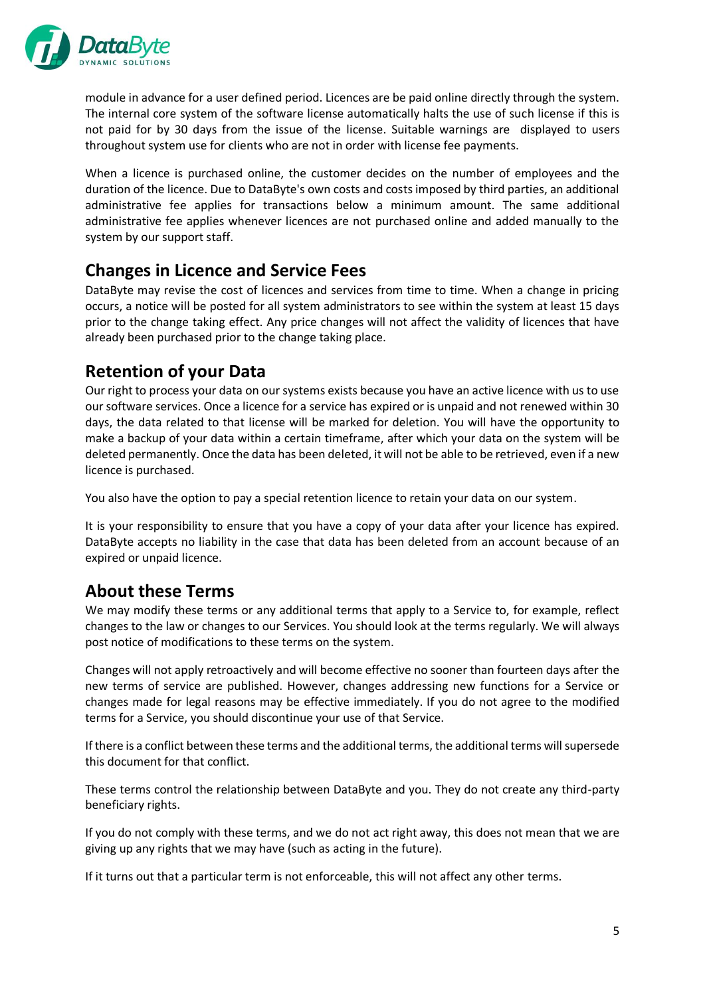

module in advance for a user defined period. Licences are be paid online directly through the system. The internal core system of the software license automatically halts the use of such license if this is not paid for by 30 days from the issue of the license. Suitable warnings are displayed to users throughout system use for clients who are not in order with license fee payments.

When a licence is purchased online, the customer decides on the number of employees and the duration of the licence. Due to DataByte's own costs and costs imposed by third parties, an additional administrative fee applies for transactions below a minimum amount. The same additional administrative fee applies whenever licences are not purchased online and added manually to the system by our support staff.

#### <span id="page-4-0"></span>**Changes in Licence and Service Fees**

DataByte may revise the cost of licences and services from time to time. When a change in pricing occurs, a notice will be posted for all system administrators to see within the system at least 15 days prior to the change taking effect. Any price changes will not affect the validity of licences that have already been purchased prior to the change taking place.

## <span id="page-4-1"></span>**Retention of your Data**

Our right to process your data on our systems exists because you have an active licence with us to use our software services. Once a licence for a service has expired or is unpaid and not renewed within 30 days, the data related to that license will be marked for deletion. You will have the opportunity to make a backup of your data within a certain timeframe, after which your data on the system will be deleted permanently. Once the data has been deleted, it will not be able to be retrieved, even if a new licence is purchased.

You also have the option to pay a special retention licence to retain your data on our system.

It is your responsibility to ensure that you have a copy of your data after your licence has expired. DataByte accepts no liability in the case that data has been deleted from an account because of an expired or unpaid licence.

## <span id="page-4-2"></span>**About these Terms**

We may modify these terms or any additional terms that apply to a Service to, for example, reflect changes to the law or changes to our Services. You should look at the terms regularly. We will always post notice of modifications to these terms on the system.

Changes will not apply retroactively and will become effective no sooner than fourteen days after the new terms of service are published. However, changes addressing new functions for a Service or changes made for legal reasons may be effective immediately. If you do not agree to the modified terms for a Service, you should discontinue your use of that Service.

If there is a conflict between these terms and the additional terms, the additional terms will supersede this document for that conflict.

These terms control the relationship between DataByte and you. They do not create any third-party beneficiary rights.

If you do not comply with these terms, and we do not act right away, this does not mean that we are giving up any rights that we may have (such as acting in the future).

If it turns out that a particular term is not enforceable, this will not affect any other terms.